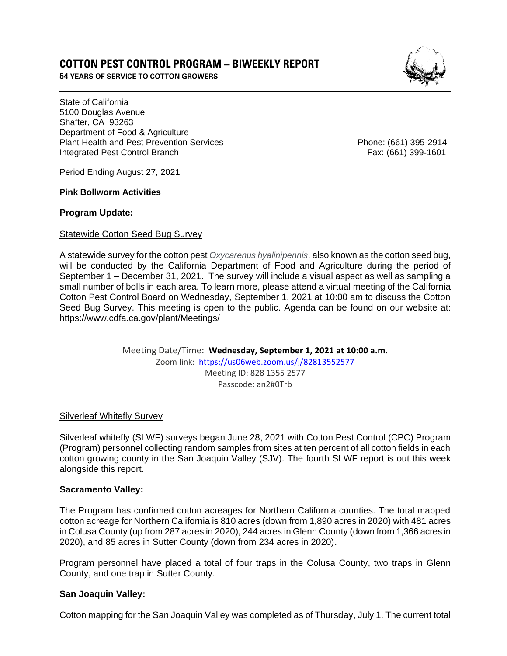# **COTTON PEST CONTROL PROGRAM – BIWEEKLY REPORT**

 **54 YEARS OF SERVICE TO COTTON GROWERS** 

 $\mathbb{Q}$ . *)* I ,

State of California Shafter, CA 93263 Department of Food & Agriculture Department of Food & Agriculture<br>Plant Health and Pest Prevention Services Phone: (661) 395-2914 5100 Douglas Avenue Integrated Pest Control Branch Fax: (661) 399-1601

Period Ending August 27, 2021

**Pink Bollworm Activities** 

## **Program Update:**

### Statewide Cotton Seed Bug Survey

 A statewide survey for the cotton pest *Oxycarenus hyalinipennis*, also known as the cotton seed bug, will be conducted by the California Department of Food and Agriculture during the period of September 1 – December 31, 2021. The survey will include a visual aspect as well as sampling a small number of bolls in each area. To learn more, please attend a virtual meeting of the California Cotton Pest Control Board on Wednesday, September 1, 2021 at 10:00 am to discuss the Cotton Seed Bug Survey. This meeting is open to the public. Agenda can be found on our website at: https://www.cdfa.ca.gov/plant/Meetings/

> Meeting Date/Time: **Wednesday, September 1, 2021 at 10:00 a.m**. Zoom link: https://us06web.zoom.us/j/82813552577 Meeting ID: 828 1355 2577 Passcode: an2#0Trb

Silverleaf Whitefly Survey

 Silverleaf whitefly (SLWF) surveys began June 28, 2021 with Cotton Pest Control (CPC) Program (Program) personnel collecting random samples from sites at ten percent of all cotton fields in each cotton growing county in the San Joaquin Valley (SJV). The fourth SLWF report is out this week alongside this report.

## **Sacramento Valley:**

 The Program has confirmed cotton acreages for Northern California counties. The total mapped cotton acreage for Northern California is 810 acres (down from 1,890 acres in 2020) with 481 acres in Colusa County (up from 287 acres in 2020), 244 acres in Glenn County (down from 1,366 acres in 2020), and 85 acres in Sutter County (down from 234 acres in 2020).

 Program personnel have placed a total of four traps in the Colusa County, two traps in Glenn County, and one trap in Sutter County.

## **San Joaquin Valley:**

Cotton mapping for the San Joaquin Valley was completed as of Thursday, July 1. The current total